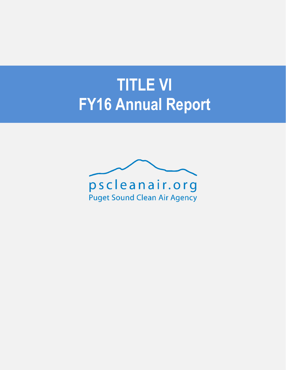# **TITLE VI FY16 Annual Report**

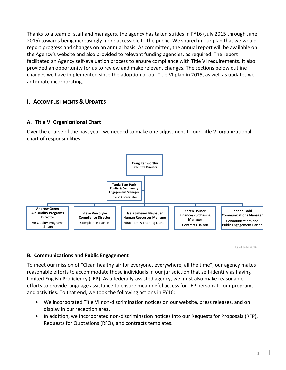Thanks to a team of staff and managers, the agency has taken strides in FY16 (July 2015 through June 2016) towards being increasingly more accessible to the public. We shared in our plan that we would report progress and changes on an annual basis. As committed, the annual report will be available on the Agency's website and also provided to relevant funding agencies, as required. The report facilitated an Agency self-evaluation process to ensure compliance with Title VI requirements. It also provided an opportunity for us to review and make relevant changes. The sections below outline changes we have implemented since the adoption of our Title VI plan in 2015, as well as updates we anticipate incorporating.

# **I. ACCOMPLISHMENTS & UPDATES**

## **A. Title VI Organizational Chart**

Over the course of the past year, we needed to make one adjustment to our Title VI organizational chart of responsibilities.



As of July 2016

#### **B. Communications and Public Engagement**

To meet our mission of "Clean healthy air for everyone, everywhere, all the time", our agency makes reasonable efforts to accommodate those individuals in our jurisdiction that self-identify as having Limited English Proficiency (LEP). As a federally-assisted agency, we must also make reasonable efforts to provide language assistance to ensure meaningful access for LEP persons to our programs and activities. To that end, we took the following actions in FY16:

- We incorporated Title VI non-discrimination notices on our website, press releases, and on display in our reception area.
- In addition, we incorporated non-discrimination notices into our Requests for Proposals (RFP), Requests for Quotations (RFQ), and contracts templates.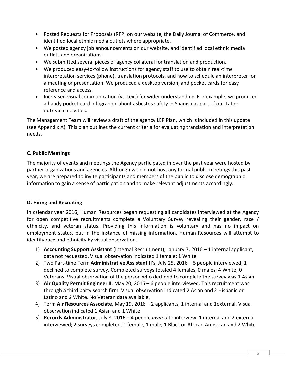- Posted Requests for Proposals (RFP) on our website, the Daily Journal of Commerce, and identified local ethnic media outlets where appropriate.
- We posted agency job announcements on our website, and identified local ethnic media outlets and organizations.
- We submitted several pieces of agency collateral for translation and production.
- We produced easy-to-follow instructions for agency staff to use to obtain real-time interpretation services (phone), translation protocols, and how to schedule an interpreter for a meeting or presentation. We produced a desktop version, and pocket cards for easy reference and access.
- Increased visual communication (vs. text) for wider understanding. For example, we produced a handy pocket-card infographic about asbestos safety in Spanish as part of our Latino outreach activities.

The Management Team will review a draft of the agency LEP Plan, which is included in this update (see Appendix A). This plan outlines the current criteria for evaluating translation and interpretation needs.

# **C. Public Meetings**

The majority of events and meetings the Agency participated in over the past year were hosted by partner organizations and agencies. Although we did not host any formal public meetings this past year, we are prepared to invite participants and members of the public to disclose demographic information to gain a sense of participation and to make relevant adjustments accordingly.

# **D. Hiring and Recruiting**

In calendar year 2016, Human Resources began requesting all candidates interviewed at the Agency for open competitive recruitments complete a Voluntary Survey revealing their gender, race / ethnicity, and veteran status. Providing this information is voluntary and has no impact on employment status, but in the instance of missing information, Human Resources will attempt to identify race and ethnicity by visual observation.

- 1) **Accounting Support Assistant** (Internal Recruitment), January 7, 2016 1 internal applicant, data not requested. Visual observation indicated 1 female; 1 White
- 2) Two Part-time Term **Administrative Assistant II**'s, July 25, 2016 5 people interviewed, 1 declined to complete survey. Completed surveys totaled 4 females, 0 males; 4 White; 0 Veterans. Visual observation of the person who declined to complete the survey was 1 Asian
- 3) **Air Quality Permit Engineer II**, May 20, 2016 6 people interviewed. This recruitment was through a third party search firm. Visual observation indicated 2 Asian and 2 Hispanic or Latino and 2 White. No Veteran data available.
- 4) Term **Air Resources Associate**, May 19, 2016 2 applicants, 1 internal and 1external. Visual observation indicated 1 Asian and 1 White
- 5) **Records Administrator**, July 8, 2016 4 people *invited* to interview; 1 internal and 2 external interviewed; 2 surveys completed. 1 female, 1 male; 1 Black or African American and 2 White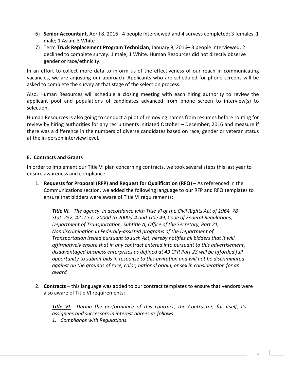- 6) **Senior Accountant**, April 8, 2016– 4 people interviewed and 4 surveys completed; 3 females, 1 male; 1 Asian, 3 White
- 7) Term **Truck Replacement Program Technician**, January 8, 2016– 3 people interviewed, 2 declined to complete survey. 1 male; 1 White. Human Resources did not directly observe gender or race/ethnicity.

In an effort to collect more data to inform us of the effectiveness of our reach in communicating vacancies, we are adjusting our approach. Applicants who are scheduled for phone screens will be asked to complete the survey at that stage of the selection process.

Also, Human Resources will schedule a closing meeting with each hiring authority to review the applicant pool and populations of candidates advanced from phone screen to interview(s) to selection.

Human Resources is also going to conduct a pilot of removing names from resumes before routing for review by hiring authorities for any recruitments initiated October – December, 2016 and measure if there was a difference in the numbers of diverse candidates based on race, gender or veteran status at the in-person interview level.

# **E. Contracts and Grants**

In order to implement our Title VI plan concerning contracts, we took several steps this last year to ensure awareness and compliance:

1. **Requests for Proposal (RFP) and Request for Qualification (RFQ)** – As referenced in the Communications section, we added the following language to our RFP and RFQ templates to ensure that bidders were aware of Title VI requirements:

*Title VI. The agency, in accordance with Title VI of the Civil Rights Act of 1964, 78 Stat. 252, 42 U.S.C. 2000d to 2000d-4 and Title 49, Code of Federal Regulations, Department of Transportation, Subtitle A, Office of the Secretary, Part 21, Nondiscrimination in Federally-assisted programs of the Department of Transportation issued pursuant to such Act, hereby notifies all bidders that it will affirmatively ensure that in any contract entered into pursuant to this advertisement, disadvantaged business enterprises as defined at 49 CFR Part 23 will be afforded full opportunity to submit bids in response to this invitation and will not be discriminated against on the grounds of race, color, national origin, or sex in consideration for an award.* 

2. **Contracts** – this language was added to our contract templates to ensure that vendors were also aware of Title VI requirements:

*Title VI. During the performance of this contract, the Contractor, for itself, its assignees and successors in interest agrees as follows:*

*1. Compliance with Regulations*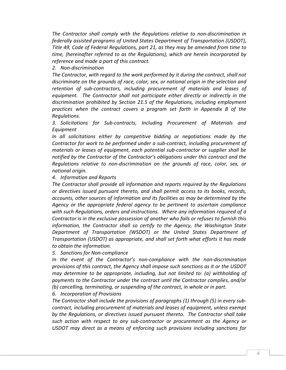*The Contractor shall comply with the Regulations relative to non-discrimination in federally assisted programs of United States Department of Transportation (USDOT), Title 49, Code of Federal Regulations, part 21, as they may be amended from time to time, (hereinafter referred to as the Regulations), which are herein incorporated by reference and made a part of this contract.*

*2. Non-discrimination*

*The Contractor, with regard to the work performed by it during the contract, shall not discriminate on the grounds of race, color, sex, or national origin in the selection and retention of sub-contractors, including procurement of materials and leases of equipment. The Contractor shall not participate either directly or indirectly in the discrimination prohibited by Section 21.5 of the Regulations, including employment practices when the contract covers a program set forth in Appendix B of the Regulations.*

*3. Solicitations for Sub-contracts, Including Procurement of Materials and Equipment*

*In all solicitations either by competitive bidding or negotiations made by the Contractor for work to be performed under a sub-contract, including procurement of materials or leases of equipment, each potential sub-contractor or supplier shall be notified by the Contractor of the Contractor's obligations under this contract and the Regulations relative to non-discrimination on the grounds of race, color, sex, or national origin.*

*4. Information and Reports*

*The Contractor shall provide all information and reports required by the Regulations or directives issued pursuant thereto, and shall permit access to its books, records, accounts, other sources of information and its facilities as may be determined by the Agency or the appropriate federal agency to be pertinent to ascertain compliance with such Regulations, orders and instructions. Where any information required of a Contractor is in the exclusive possession of another who fails or refuses to furnish this information, the Contractor shall so certify to the Agency, the Washington State Department of Transportation (WSDOT) or the United States Department of Transportation (USDOT) as appropriate, and shall set forth what efforts it has made to obtain the information.*

*5. Sanctions for Non-compliance*

*In the event of the Contractor's non-compliance with the non-discrimination provisions of this contract, the Agency shall impose such sanctions as it or the USDOT may determine to be appropriate, including, but not limited to: (a) withholding of payments to the Contractor under the contract until the Contractor complies, and/or (b) cancelling, terminating, or suspending of the contract, in whole or in part.*

*6. Incorporation of Provisions*

*The Contractor shall include the provisions of paragraphs (1) through (5) in every subcontract, including procurement of materials and leases of equipment, unless exempt by the Regulations, or directives issued pursuant thereto. The Contractor shall take such action with respect to any sub-contractor or procurement as the Agency or USDOT may direct as a means of enforcing such provisions including sanctions for*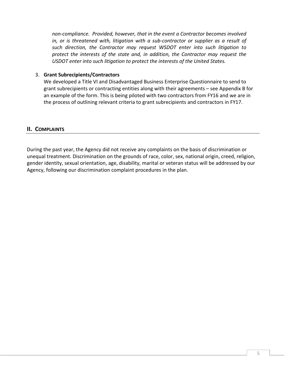*non-compliance. Provided, however, that in the event a Contractor becomes involved in, or is threatened with, litigation with a sub-contractor or supplier as a result of such direction, the Contractor may request WSDOT enter into such litigation to protect the interests of the state and, in addition, the Contractor may request the USDOT enter into such litigation to protect the interests of the United States.*

#### 3. **Grant Subrecipients/Contractors**

We developed a Title VI and Disadvantaged Business Enterprise Questionnaire to send to grant subrecipients or contracting entities along with their agreements – see Appendix B for an example of the form. This is being piloted with two contractors from FY16 and we are in the process of outlining relevant criteria to grant subrecipients and contractors in FY17.

# **II. COMPLAINTS**

During the past year, the Agency did not receive any complaints on the basis of discrimination or unequal treatment. Discrimination on the grounds of race, color, sex, national origin, creed, religion, gender identity, sexual orientation, age, disability, marital or veteran status will be addressed by our Agency, following our discrimination complaint procedures in the plan.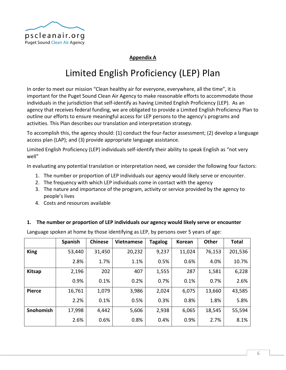

# **Appendix A**

# Limited English Proficiency (LEP) Plan

In order to meet our mission "Clean healthy air for everyone, everywhere, all the time", it is important for the Puget Sound Clean Air Agency to make reasonable efforts to accommodate those individuals in the jurisdiction that self-identify as having Limited English Proficiency (LEP). As an agency that receives federal funding, we are obligated to provide a Limited English Proficiency Plan to outline our efforts to ensure meaningful access for LEP persons to the agency's programs and activities. This Plan describes our translation and interpretation strategy.

To accomplish this, the agency should: (1) conduct the four-factor assessment; (2) develop a language access plan (LAP); and (3) provide appropriate language assistance.

Limited English Proficiency (LEP) individuals self-identify their ability to speak English as "not very well"

In evaluating any potential translation or interpretation need, we consider the following four factors:

- 1. The number or proportion of LEP individuals our agency would likely serve or encounter.
- 2. The frequency with which LEP individuals come in contact with the agency
- 3. The nature and importance of the program, activity or service provided by the agency to people's lives
- 4. Costs and resources available

#### **1. The number or proportion of LEP individuals our agency would likely serve or encounter**

Language spoken at home by those identifying as LEP, by persons over 5 years of age:

|               | Spanish | <b>Chinese</b> | <b>Vietnamese</b> | <b>Tagalog</b> | Korean | <b>Other</b> | <b>Total</b> |
|---------------|---------|----------------|-------------------|----------------|--------|--------------|--------------|
| <b>King</b>   | 53,440  | 31,450         | 20,232            | 9,237          | 11,024 | 76,153       | 201,536      |
|               | 2.8%    | 1.7%           | 1.1%              | 0.5%           | 0.6%   | 4.0%         | 10.7%        |
| <b>Kitsap</b> | 2,196   | 202            | 407               | 1,555          | 287    | 1,581        | 6,228        |
|               | 0.9%    | 0.1%           | 0.2%              | 0.7%           | 0.1%   | 0.7%         | 2.6%         |
| <b>Pierce</b> | 16,761  | 1,079          | 3,986             | 2,024          | 6,075  | 13,660       | 43,585       |
|               | 2.2%    | 0.1%           | 0.5%              | 0.3%           | 0.8%   | 1.8%         | 5.8%         |
| Snohomish     | 17,998  | 4,442          | 5,606             | 2,938          | 6,065  | 18,545       | 55,594       |
|               | 2.6%    | 0.6%           | 0.8%              | 0.4%           | 0.9%   | 2.7%         | 8.1%         |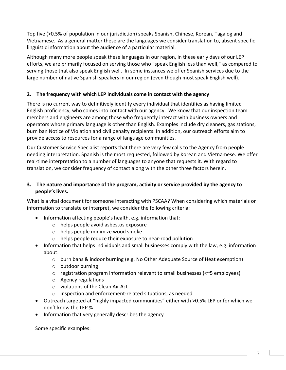Top five (>0.5% of population in our jurisdiction) speaks Spanish, Chinese, Korean, Tagalog and Vietnamese. As a general matter these are the languages we consider translation to, absent specific linguistic information about the audience of a particular material.

Although many more people speak these languages in our region, in these early days of our LEP efforts, we are primarily focused on serving those who "speak English less than well," as compared to serving those that also speak English well. In some instances we offer Spanish services due to the large number of native Spanish speakers in our region (even though most speak English well).

# **2. The frequency with which LEP individuals come in contact with the agency**

There is no current way to definitively identify every individual that identifies as having limited English proficiency, who comes into contact with our agency. We know that our inspection team members and engineers are among those who frequently interact with business owners and operators whose primary language is other than English. Examples include dry cleaners, gas stations, burn ban Notice of Violation and civil penalty recipients. In addition, our outreach efforts aim to provide access to resources for a range of language communities.

Our Customer Service Specialist reports that there are very few calls to the Agency from people needing interpretation. Spanish is the most requested, followed by Korean and Vietnamese. We offer real-time interpretation to a number of languages to anyone that requests it. With regard to translation, we consider frequency of contact along with the other three factors herein.

# **3. The nature and importance of the program, activity or service provided by the agency to people's lives.**

What is a vital document for someone interacting with PSCAA? When considering which materials or information to translate or interpret, we consider the following criteria:

- Information affecting people's health, e.g. information that:
	- o helps people avoid asbestos exposure
	- o helps people minimize wood smoke
	- o helps people reduce their exposure to near-road pollution
- Information that helps individuals and small businesses comply with the law, e.g. information about:
	- o burn bans & indoor burning (e.g. No Other Adequate Source of Heat exemption)
	- o outdoor burning
	- o registration program information relevant to small businesses (<~5 employees)
	- o Agency regulations
	- o violations of the Clean Air Act
	- o inspection and enforcement-related situations, as needed
- Outreach targeted at "highly impacted communities" either with >0.5% LEP or for which we don't know the LEP %
- Information that very generally describes the agency

Some specific examples: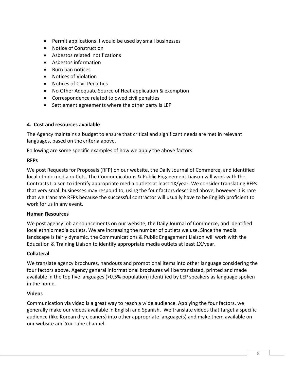- Permit applications if would be used by small businesses
- Notice of Construction
- Asbestos related notifications
- Asbestos information
- Burn ban notices
- Notices of Violation
- Notices of Civil Penalties
- No Other Adequate Source of Heat application & exemption
- Correspondence related to owed civil penalties
- Settlement agreements where the other party is LEP

## **4. Cost and resources available**

The Agency maintains a budget to ensure that critical and significant needs are met in relevant languages, based on the criteria above.

Following are some specific examples of how we apply the above factors.

#### **RFPs**

We post Requests for Proposals (RFP) on our website, the Daily Journal of Commerce, and identified local ethnic media outlets. The Communications & Public Engagement Liaison will work with the Contracts Liaison to identify appropriate media outlets at least 1X/year. We consider translating RFPs that very small businesses may respond to, using the four factors described above, however it is rare that we translate RFPs because the successful contractor will usually have to be English proficient to work for us in any event.

#### **Human Resources**

We post agency job announcements on our website, the Daily Journal of Commerce, and identified local ethnic media outlets. We are increasing the number of outlets we use. Since the media landscape is fairly dynamic, the Communications & Public Engagement Liaison will work with the Education & Training Liaison to identify appropriate media outlets at least 1X/year.

## **Collateral**

We translate agency brochures, handouts and promotional items into other language considering the four factors above. Agency general informational brochures will be translated, printed and made available in the top five languages (>0.5% population) identified by LEP speakers as language spoken in the home.

## **Videos**

Communication via video is a great way to reach a wide audience. Applying the four factors, we generally make our videos available in English and Spanish. We translate videos that target a specific audience (like Korean dry cleaners) into other appropriate language(s) and make them available on our website and YouTube channel.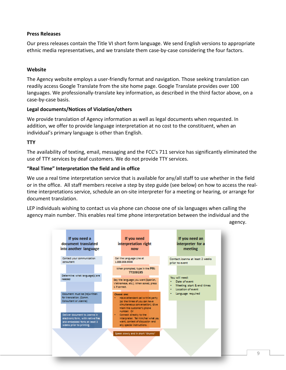#### **Press Releases**

Our press releases contain the Title VI short form language. We send English versions to appropriate ethnic media representatives, and we translate them case-by-case considering the four factors.

#### **Website**

The Agency website employs a user-friendly format and navigation. Those seeking translation can readily access Google Translate from the site home page. Google Translate provides over 100 languages. We professionally-translate key information, as described in the third factor above, on a case-by-case basis.

#### **Legal documents/Notices of Violation/others**

We provide translation of Agency information as well as legal documents when requested. In addition, we offer to provide language interpretation at no cost to the constituent, when an individual's primary language is other than English.

#### **TTY**

The availability of texting, email, messaging and the FCC's 711 service has significantly eliminated the use of TTY services by deaf customers. We do not provide TTY services.

#### **"Real Time" Interpretation the field and in office**

We use a real time interpretation service that is available for any/all staff to use whether in the field or in the office. All staff members receive a step by step guide (see below) on how to access the realtime interpretations service, schedule an on-site interpreter for a meeting or hearing, or arrange for document translation.

LEP individuals wishing to contact us via phone can choose one of six languages when calling the agency main number. This enables real time phone interpretation between the individual and the

agency.

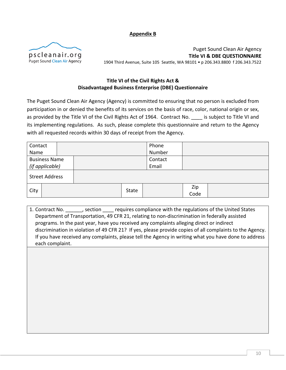#### **Appendix B**



Puget Sound Clean Air Agency **Title VI & DBE QUESTIONNAIRE** 1904 Third Avenue, Suite 105 Seattle, WA 98101 • p 206.343.8800 f 206.343.7522

# **Title VI of the Civil Rights Act & Disadvantaged Business Enterprise (DBE) Questionnaire**

The Puget Sound Clean Air Agency (Agency) is committed to ensuring that no person is excluded from participation in or denied the benefits of its services on the basis of race, color, national origin or sex, as provided by the Title VI of the Civil Rights Act of 1964. Contract No. \_\_\_\_ is subject to Title VI and its implementing regulations. As such, please complete this questionnaire and return to the Agency with all requested records within 30 days of receipt from the Agency.

| Contact               |  |       |  | Phone       |  |  |
|-----------------------|--|-------|--|-------------|--|--|
| Name                  |  |       |  | Number      |  |  |
| <b>Business Name</b>  |  |       |  | Contact     |  |  |
| (if applicable)       |  |       |  | Email       |  |  |
| <b>Street Address</b> |  |       |  |             |  |  |
| City                  |  | State |  | Zip<br>Code |  |  |

1. Contract No. \_\_\_\_\_\_, section \_\_\_\_ requires compliance with the regulations of the United States Department of Transportation, 49 CFR 21, relating to non-discrimination in federally assisted programs. In the past year, have you received any complaints alleging direct or indirect discrimination in violation of 49 CFR 21? If yes, please provide copies of all complaints to the Agency. If you have received any complaints, please tell the Agency in writing what you have done to address each complaint.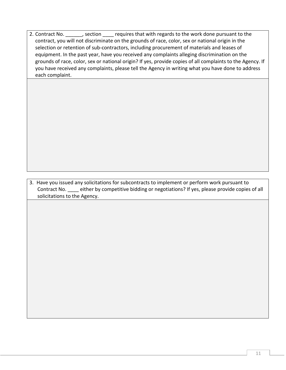2. Contract No.  $\qquad \qquad$ , section  $\qquad$  requires that with regards to the work done pursuant to the contract, you will not discriminate on the grounds of race, color, sex or national origin in the selection or retention of sub-contractors, including procurement of materials and leases of equipment. In the past year, have you received any complaints alleging discrimination on the grounds of race, color, sex or national origin? If yes, provide copies of all complaints to the Agency. If you have received any complaints, please tell the Agency in writing what you have done to address each complaint.

3. Have you issued any solicitations for subcontracts to implement or perform work pursuant to Contract No. \_\_\_\_ either by competitive bidding or negotiations? If yes, please provide copies of all solicitations to the Agency.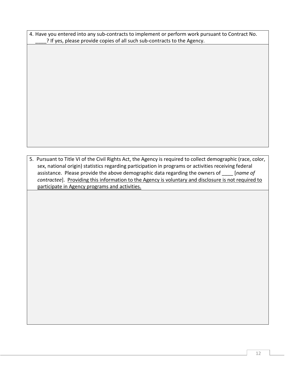| 4. Have you entered into any sub-contracts to implement or perform work pursuant to Contract No. |  |
|--------------------------------------------------------------------------------------------------|--|
| ? If yes, please provide copies of all such sub-contracts to the Agency.                         |  |

5. Pursuant to Title VI of the Civil Rights Act, the Agency is required to collect demographic (race, color, sex, national origin) statistics regarding participation in programs or activities receiving federal assistance. Please provide the above demographic data regarding the owners of \_\_\_\_ [*name of contractee*]. Providing this information to the Agency is voluntary and disclosure is not required to participate in Agency programs and activities.